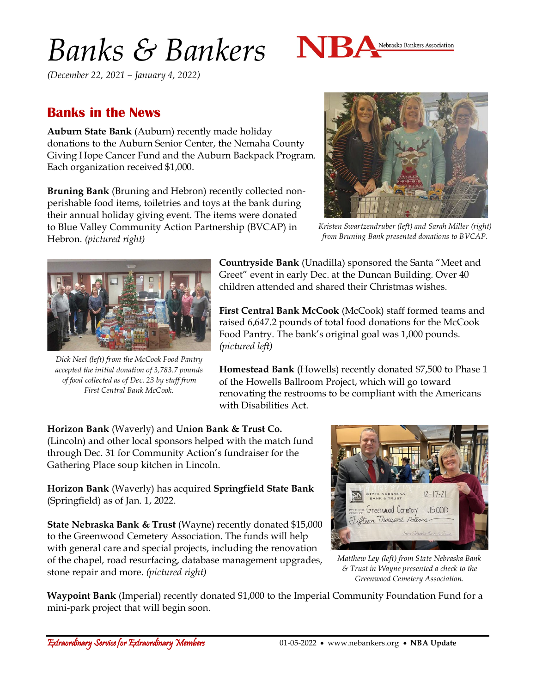# *Banks & Bankers*

Nebraska Bankers Association

*(December 22, 2021 – January 4, 2022)*

#### **Banks in the News**

**Auburn State Bank** (Auburn) recently made holiday donations to the Auburn Senior Center, the Nemaha County Giving Hope Cancer Fund and the Auburn Backpack Program. Each organization received \$1,000.

**Bruning Bank** (Bruning and Hebron) recently collected nonperishable food items, toiletries and toys at the bank during their annual holiday giving event. The items were donated to Blue Valley Community Action Partnership (BVCAP) in Hebron. *(pictured right)*



*Kristen Swartzendruber (left) and Sarah Miller (right) from Bruning Bank presented donations to BVCAP.*



*Dick Neel (left) from the McCook Food Pantry accepted the initial donation of 3,783.7 pounds of food collected as of Dec. 23 by staff from First Central Bank McCook.*

**Countryside Bank** (Unadilla) sponsored the Santa "Meet and Greet" event in early Dec. at the Duncan Building. Over 40 children attended and shared their Christmas wishes.

**First Central Bank McCook** (McCook) staff formed teams and raised 6,647.2 pounds of total food donations for the McCook Food Pantry. The bank's original goal was 1,000 pounds. *(pictured left)*

**Homestead Bank** (Howells) recently donated \$7,500 to Phase 1 of the Howells Ballroom Project, which will go toward renovating the restrooms to be compliant with the Americans with Disabilities Act.

**Horizon Bank** (Waverly) and **Union Bank & Trust Co.** (Lincoln) and other local sponsors helped with the match fund through Dec. 31 for Community Action's fundraiser for the Gathering Place soup kitchen in Lincoln.

**Horizon Bank** (Waverly) has acquired **Springfield State Bank** (Springfield) as of Jan. 1, 2022.

**State Nebraska Bank & Trust** (Wayne) recently donated \$15,000 to the Greenwood Cemetery Association. The funds will help with general care and special projects, including the renovation of the chapel, road resurfacing, database management upgrades, stone repair and more. *(pictured right)*



*Matthew Ley (left) from State Nebraska Bank & Trust in Wayne presented a check to the Greenwood Cemetery Association.*

**Waypoint Bank** (Imperial) recently donated \$1,000 to the Imperial Community Foundation Fund for a mini-park project that will begin soon.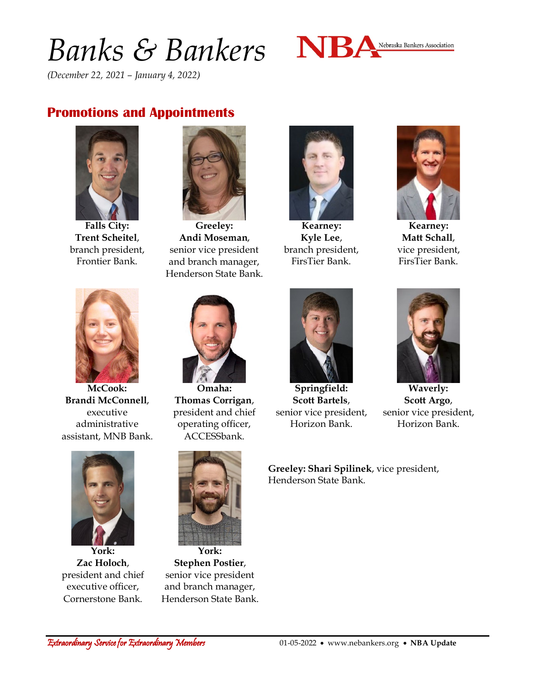## *Banks & Bankers*



*(December 22, 2021 – January 4, 2022)*

#### **Promotions and Appointments**



**Falls City: Trent Scheitel**, branch president, Frontier Bank.



**Greeley: Andi Moseman**, senior vice president and branch manager, Henderson State Bank.



**Kearney: Kyle Lee**, branch president, FirsTier Bank.



**Kearney: Matt Schall**, vice president, FirsTier Bank.



**McCook: Brandi McConnell**, executive administrative assistant, MNB Bank.



**Omaha: Thomas Corrigan**, president and chief operating officer, ACCESSbank.



**Springfield: Scott Bartels**, senior vice president, Horizon Bank.



**Waverly: Scott Argo**, senior vice president, Horizon Bank.

**Greeley: Shari Spilinek**, vice president, Henderson State Bank.



**York: Zac Holoch**, president and chief executive officer, Cornerstone Bank.



**York: Stephen Postier**, senior vice president and branch manager, Henderson State Bank.